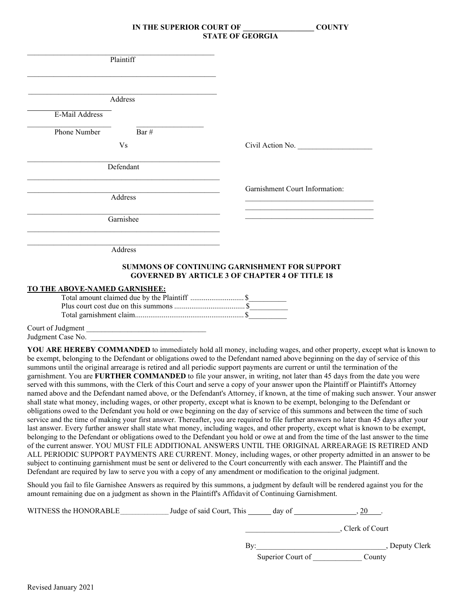|                               | Plaintiff                                     |                                                                                                               |
|-------------------------------|-----------------------------------------------|---------------------------------------------------------------------------------------------------------------|
|                               |                                               |                                                                                                               |
|                               | Address                                       |                                                                                                               |
| E-Mail Address                |                                               |                                                                                                               |
| Phone Number                  | Bar#                                          |                                                                                                               |
|                               | <b>Vs</b>                                     | Civil Action No.                                                                                              |
|                               | Defendant                                     |                                                                                                               |
|                               |                                               | Garnishment Court Information:                                                                                |
|                               | Address                                       |                                                                                                               |
|                               | Garnishee                                     |                                                                                                               |
|                               | Address                                       |                                                                                                               |
|                               |                                               | <b>SUMMONS OF CONTINUING GARNISHMENT FOR SUPPORT</b><br><b>GOVERNED BY ARTICLE 3 OF CHAPTER 4 OF TITLE 18</b> |
| TO THE ABOVE-NAMED GARNISHEE: |                                               |                                                                                                               |
|                               | Total amount claimed due by the Plaintiff  \$ |                                                                                                               |
|                               |                                               |                                                                                                               |
|                               |                                               |                                                                                                               |

Court of Judgment Judgment Case No.

**YOU ARE HEREBY COMMANDED** to immediately hold all money, including wages, and other property, except what is known to be exempt, belonging to the Defendant or obligations owed to the Defendant named above beginning on the day of service of this summons until the original arrearage is retired and all periodic support payments are current or until the termination of the garnishment. You are **FURTHER COMMANDED** to file your answer, in writing, not later than 45 days from the date you were served with this summons, with the Clerk of this Court and serve a copy of your answer upon the Plaintiff or Plaintiff's Attorney named above and the Defendant named above, or the Defendant's Attorney, if known, at the time of making such answer. Your answer shall state what money, including wages, or other property, except what is known to be exempt, belonging to the Defendant or obligations owed to the Defendant you hold or owe beginning on the day of service of this summons and between the time of such service and the time of making your first answer. Thereafter, you are required to file further answers no later than 45 days after your last answer. Every further answer shall state what money, including wages, and other property, except what is known to be exempt, belonging to the Defendant or obligations owed to the Defendant you hold or owe at and from the time of the last answer to the time of the current answer. YOU MUST FILE ADDITIONAL ANSWERS UNTIL THE ORIGINAL ARREARAGE IS RETIRED AND ALL PERIODIC SUPPORT PAYMENTS ARE CURRENT. Money, including wages, or other property admitted in an answer to be subject to continuing garnishment must be sent or delivered to the Court concurrently with each answer. The Plaintiff and the Defendant are required by law to serve you with a copy of any amendment or modification to the original judgment.

Should you fail to file Garnishee Answers as required by this summons, a judgment by default will be rendered against you for the amount remaining due on a judgment as shown in the Plaintiff's Affidavit of Continuing Garnishment.

| WITNESS the HONORABLE | Judge of said Court, This | day of            |                  |
|-----------------------|---------------------------|-------------------|------------------|
|                       |                           |                   | . Clerk of Court |
|                       | Bv:                       |                   | Deputy Clerk     |
|                       |                           | Superior Court of | County           |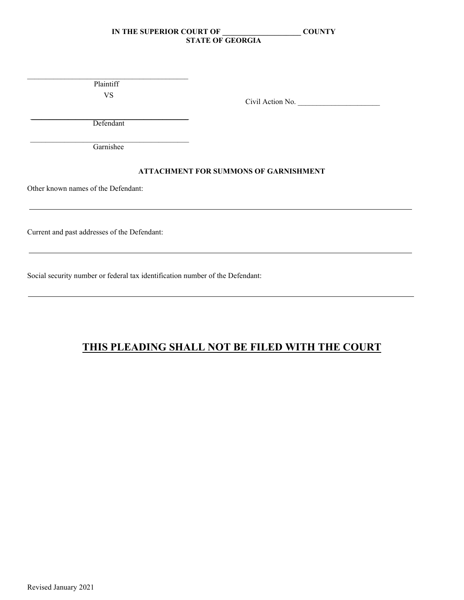\_\_\_\_\_\_\_\_\_\_\_\_\_\_\_\_\_\_\_\_\_\_\_\_\_\_\_\_\_\_\_\_\_\_\_\_\_\_\_\_\_\_\_ Plaintiff VS

Civil Action No.

\_\_\_\_\_\_\_\_\_\_\_\_\_\_\_\_\_\_\_\_\_\_\_\_\_\_\_\_\_\_\_\_\_\_\_\_\_\_\_\_\_\_ Defendant

\_\_\_\_\_\_\_\_\_\_\_\_\_\_\_\_\_\_\_\_\_\_\_\_\_\_\_\_\_\_\_\_\_\_\_\_\_\_\_\_\_\_ **Garnishee** 

# **ATTACHMENT FOR SUMMONS OF GARNISHMENT**

Other known names of the Defendant:

Current and past addresses of the Defendant:

Social security number or federal tax identification number of the Defendant:

# **THIS PLEADING SHALL NOT BE FILED WITH THE COURT**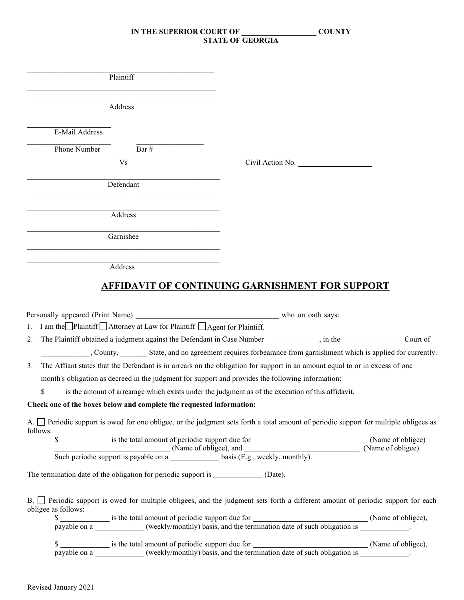| Plaintiff                                                                                                                                                                                  |                  |
|--------------------------------------------------------------------------------------------------------------------------------------------------------------------------------------------|------------------|
| Address                                                                                                                                                                                    |                  |
|                                                                                                                                                                                            |                  |
| E-Mail Address                                                                                                                                                                             |                  |
| Phone Number<br>Bar $\#$                                                                                                                                                                   |                  |
| V <sub>s</sub>                                                                                                                                                                             | Civil Action No. |
| Defendant                                                                                                                                                                                  |                  |
| Address                                                                                                                                                                                    |                  |
| Garnishee                                                                                                                                                                                  |                  |
| Address                                                                                                                                                                                    |                  |
|                                                                                                                                                                                            |                  |
| <b>AFFIDAVIT OF CONTINUING GARNISHMENT FOR SUPPORT</b>                                                                                                                                     |                  |
|                                                                                                                                                                                            |                  |
|                                                                                                                                                                                            |                  |
| I am the Plaintiff $\Box$ Attorney at Law for Plaintiff $\Box$ Agent for Plaintiff.<br>1.                                                                                                  |                  |
| 2.                                                                                                                                                                                         | Court of         |
| .County, State, and no agreement requires forbearance from garnishment which is applied for currently.                                                                                     |                  |
| The Affiant states that the Defendant is in arrears on the obligation for support in an amount equal to or in excess of one<br>3.                                                          |                  |
| month's obligation as decreed in the judgment for support and provides the following information:                                                                                          |                  |
| is the amount of arrearage which exists under the judgment as of the execution of this affidavit.<br>S.                                                                                    |                  |
| Check one of the boxes below and complete the requested information:                                                                                                                       |                  |
| A. Periodic support is owed for one obligee, or the judgment sets forth a total amount of periodic support for multiple obligees as                                                        |                  |
| follows:                                                                                                                                                                                   |                  |
|                                                                                                                                                                                            |                  |
| The termination date of the obligation for periodic support is _______________ (Date).                                                                                                     |                  |
| B. <sup>D</sup> Periodic support is owed for multiple obligees, and the judgment sets forth a different amount of periodic support for each                                                |                  |
| obligee as follows:                                                                                                                                                                        |                  |
| \$<br>is the total amount of periodic support due for<br>payable on a<br>(Name of obligee),<br>(weekly/monthly) basis, and the termination date of such obligation is<br>Name of obligee), |                  |
|                                                                                                                                                                                            |                  |
| \$<br>is the total amount of periodic support due for<br>payable on a<br>(Name of obligee),<br>(weekly/monthly) basis, and the termination date of such obligation is<br>Name of obligee), |                  |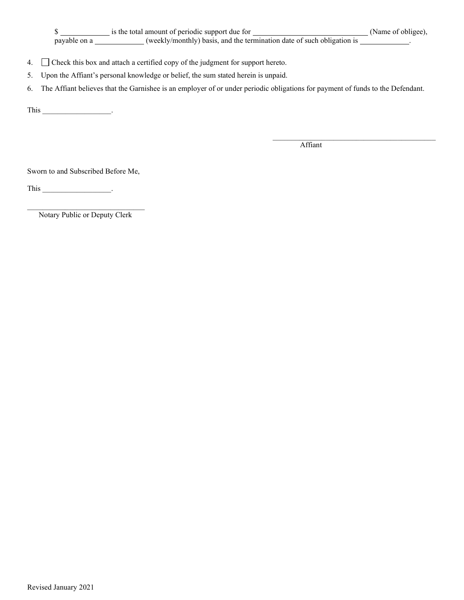\$ payable on a \_\_\_\_\_\_\_\_\_\_\_\_(weekly/monthly) basis, and the termination date of such obligation is \_\_\_\_\_\_\_\_\_\_.

- 4. Check this box and attach a certified copy of the judgment for support hereto.
- 5. Upon the Affiant's personal knowledge or belief, the sum stated herein is unpaid.
- 6. The Affiant believes that the Garnishee is an employer of or under periodic obligations for payment of funds to the Defendant.

This \_\_\_\_\_\_\_\_\_\_\_\_\_\_\_\_\_\_.

Affiant

 $\_$  . The contribution of the contribution of  $\mathcal{L}_\mathcal{A}$ 

Sworn to and Subscribed Before Me,

This  $\qquad \qquad \qquad .$ 

\_\_\_\_\_\_\_\_\_\_\_\_\_\_\_\_\_\_\_\_\_\_\_\_\_\_\_\_\_\_\_ Notary Public or Deputy Clerk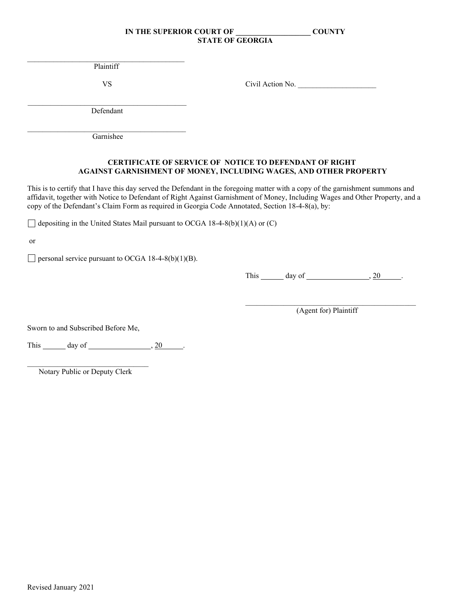$\mathcal{L}_\mathcal{L} = \mathcal{L}_\mathcal{L} = \mathcal{L}_\mathcal{L} = \mathcal{L}_\mathcal{L} = \mathcal{L}_\mathcal{L} = \mathcal{L}_\mathcal{L} = \mathcal{L}_\mathcal{L} = \mathcal{L}_\mathcal{L} = \mathcal{L}_\mathcal{L} = \mathcal{L}_\mathcal{L} = \mathcal{L}_\mathcal{L} = \mathcal{L}_\mathcal{L} = \mathcal{L}_\mathcal{L} = \mathcal{L}_\mathcal{L} = \mathcal{L}_\mathcal{L} = \mathcal{L}_\mathcal{L} = \mathcal{L}_\mathcal{L}$ Plaintiff

VS Civil Action No. \_\_\_\_\_\_\_\_\_\_\_\_\_\_\_\_\_\_\_\_\_

\_\_\_\_\_\_\_\_\_\_\_\_\_\_\_\_\_\_\_\_\_\_\_\_\_\_\_\_\_\_\_\_\_\_\_\_\_\_\_\_\_\_ Defendant

\_\_\_\_\_\_\_\_\_\_\_\_\_\_\_\_\_\_\_\_\_\_\_\_\_\_\_\_\_\_\_\_\_\_\_\_\_\_\_\_\_\_ Garnishee

# **CERTIFICATE OF SERVICE OF NOTICE TO DEFENDANT OF RIGHT AGAINST GARNISHMENT OF MONEY, INCLUDING WAGES, AND OTHER PROPERTY**

This is to certify that I have this day served the Defendant in the foregoing matter with a copy of the garnishment summons and affidavit, together with Notice to Defendant of Right Against Garnishment of Money, Including Wages and Other Property, and a copy of the Defendant's Claim Form as required in Georgia Code Annotated, Section 18-4-8(a), by:

 $\Box$  depositing in the United States Mail pursuant to OCGA 18-4-8(b)(1)(A) or (C)

or

 $\Box$  personal service pursuant to OCGA 18-4-8(b)(1)(B).

This  $\_\_\_$  day of  $\_\_\_\_\_\_$ , 20  $\_\_\_\_\_\_\_\_\_\.\$ 

\_\_\_\_\_\_\_\_\_\_\_\_\_\_\_\_\_\_\_\_\_\_\_\_\_\_\_\_\_\_\_\_\_\_\_\_\_\_\_\_\_\_\_\_\_ (Agent for) Plaintiff

Sworn to and Subscribed Before Me,

This  $\_\_\_\_$  day of  $\_\_\_\_\_\_\_$ , 20  $\_\_\_\_\_\_\_\_\_\_\_\_\_\_$ 

 $\mathcal{L}_\text{max}$  , which is a set of the set of the set of the set of the set of the set of the set of the set of the set of the set of the set of the set of the set of the set of the set of the set of the set of the set of Notary Public or Deputy Clerk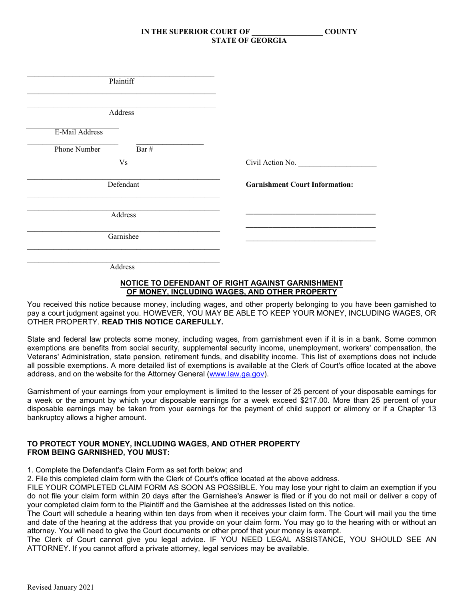| Plaintiff             |                                       |
|-----------------------|---------------------------------------|
| Address               |                                       |
| E-Mail Address        |                                       |
| Bar #<br>Phone Number |                                       |
| V <sub>S</sub>        | Civil Action No.                      |
| Defendant             | <b>Garnishment Court Information:</b> |
| Address               |                                       |
| Garnishee             |                                       |
| Address               |                                       |

#### **NOTICE TO DEFENDANT OF RIGHT AGAINST GARNISHMENT OF MONEY, INCLUDING WAGES, AND OTHER PROPERTY**

You received this notice because money, including wages, and other property belonging to you have been garnished to pay a court judgment against you. HOWEVER, YOU MAY BE ABLE TO KEEP YOUR MONEY, INCLUDING WAGES, OR OTHER PROPERTY. **READ THIS NOTICE CAREFULLY.**

State and federal law protects some money, including wages, from garnishment even if it is in a bank. Some common exemptions are benefits from social security, supplemental security income, unemployment, workers' compensation, the Veterans' Administration, state pension, retirement funds, and disability income. This list of exemptions does not include all possible exemptions. A more detailed list of exemptions is available at the Clerk of Court's office located at the above address, and on the website for the Attorney General [\(www.law.ga.gov\)](http://www.law.ga.gov/).

Garnishment of your earnings from your employment is limited to the lesser of 25 percent of your disposable earnings for a week or the amount by which your disposable earnings for a week exceed \$217.00. More than 25 percent of your disposable earnings may be taken from your earnings for the payment of child support or alimony or if a Chapter 13 bankruptcy allows a higher amount.

#### **TO PROTECT YOUR MONEY, INCLUDING WAGES, AND OTHER PROPERTY FROM BEING GARNISHED, YOU MUST:**

1. Complete the Defendant's Claim Form as set forth below; and

2. File this completed claim form with the Clerk of Court's office located at the above address.

FILE YOUR COMPLETED CLAIM FORM AS SOON AS POSSIBLE. You may lose your right to claim an exemption if you do not file your claim form within 20 days after the Garnishee's Answer is filed or if you do not mail or deliver a copy of your completed claim form to the Plaintiff and the Garnishee at the addresses listed on this notice.

The Court will schedule a hearing within ten days from when it receives your claim form. The Court will mail you the time and date of the hearing at the address that you provide on your claim form. You may go to the hearing with or without an attorney. You will need to give the Court documents or other proof that your money is exempt.

The Clerk of Court cannot give you legal advice. IF YOU NEED LEGAL ASSISTANCE, YOU SHOULD SEE AN ATTORNEY. If you cannot afford a private attorney, legal services may be available.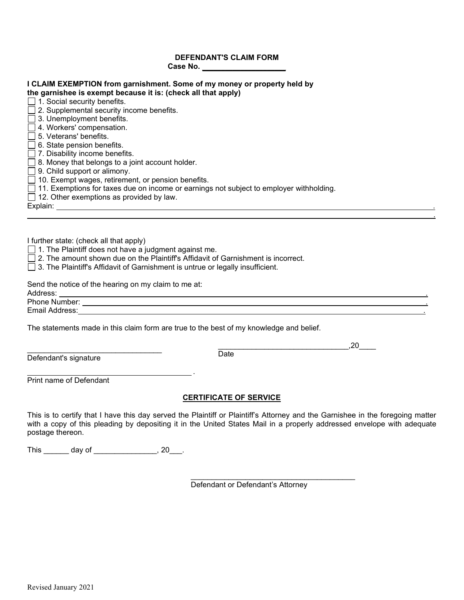# **DEFENDANT'S CLAIM FORM Case No. \_\_\_\_\_\_\_\_\_\_\_\_\_\_\_\_\_\_\_\_\_\_**

| <b>I CLAIM EXEMPTION from garnishment. Some of my money or property held by</b>                                                                                                                                                                                                                                                                                                                                                            |  |  |  |  |  |                                                                                                                                                                                                                                                                                                                                                                                                                                 |    |
|--------------------------------------------------------------------------------------------------------------------------------------------------------------------------------------------------------------------------------------------------------------------------------------------------------------------------------------------------------------------------------------------------------------------------------------------|--|--|--|--|--|---------------------------------------------------------------------------------------------------------------------------------------------------------------------------------------------------------------------------------------------------------------------------------------------------------------------------------------------------------------------------------------------------------------------------------|----|
| the garnishee is exempt because it is: (check all that apply)                                                                                                                                                                                                                                                                                                                                                                              |  |  |  |  |  |                                                                                                                                                                                                                                                                                                                                                                                                                                 |    |
| $\Box$ 1. Social security benefits.                                                                                                                                                                                                                                                                                                                                                                                                        |  |  |  |  |  |                                                                                                                                                                                                                                                                                                                                                                                                                                 |    |
| $\Box$ 2. Supplemental security income benefits.                                                                                                                                                                                                                                                                                                                                                                                           |  |  |  |  |  |                                                                                                                                                                                                                                                                                                                                                                                                                                 |    |
| $\Box$ 3. Unemployment benefits.<br>□ 4. Workers' compensation.<br>$\Box$ 5. Veterans' benefits.<br>$\Box$ 6. State pension benefits.<br>$\Box$ 7. Disability income benefits.<br>$\Box$ 8. Money that belongs to a joint account holder.<br>$\Box$ 9. Child support or alimony.<br>□ 10. Exempt wages, retirement, or pension benefits.<br>$\Box$ 11. Exemptions for taxes due on income or earnings not subject to employer withholding. |  |  |  |  |  |                                                                                                                                                                                                                                                                                                                                                                                                                                 |    |
|                                                                                                                                                                                                                                                                                                                                                                                                                                            |  |  |  |  |  | $\Box$ 12. Other exemptions as provided by law.                                                                                                                                                                                                                                                                                                                                                                                 |    |
|                                                                                                                                                                                                                                                                                                                                                                                                                                            |  |  |  |  |  |                                                                                                                                                                                                                                                                                                                                                                                                                                 |    |
|                                                                                                                                                                                                                                                                                                                                                                                                                                            |  |  |  |  |  | I further state: (check all that apply)<br>$\Box$ 1. The Plaintiff does not have a judgment against me.<br>$\Box$ 2. The amount shown due on the Plaintiff's Affidavit of Garnishment is incorrect.<br>$\Box$ 3. The Plaintiff's Affidavit of Garnishment is untrue or legally insufficient.<br>Send the notice of the hearing on my claim to me at:<br>Address:<br><u> 1989 - Johann Stoff, amerikansk politiker (d. 1989)</u> |    |
|                                                                                                                                                                                                                                                                                                                                                                                                                                            |  |  |  |  |  | The statements made in this claim form are true to the best of my knowledge and belief.                                                                                                                                                                                                                                                                                                                                         | 20 |
|                                                                                                                                                                                                                                                                                                                                                                                                                                            |  |  |  |  |  | Date<br>$\mathbf{D} \times \mathbf{C}$ and $\mathbf{H} \times \mathbf{C}$ and $\mathbf{H} \times \mathbf{C}$ and $\mathbf{H} \times \mathbf{C}$                                                                                                                                                                                                                                                                                 |    |

Defendant's signature

.

Print name of Defendant

# **CERTIFICATE OF SERVICE**

This is to certify that I have this day served the Plaintiff or Plaintiff's Attorney and the Garnishee in the foregoing matter with a copy of this pleading by depositing it in the United States Mail in a properly addressed envelope with adequate postage thereon.

This \_\_\_\_\_\_\_ day of \_\_\_\_\_\_\_\_\_\_\_\_\_\_\_, 20\_\_\_.

\_\_\_\_\_\_\_\_\_\_\_\_\_\_\_\_\_\_\_\_\_\_\_\_\_\_\_\_\_\_\_\_\_\_\_\_\_\_\_ Defendant or Defendant's Attorney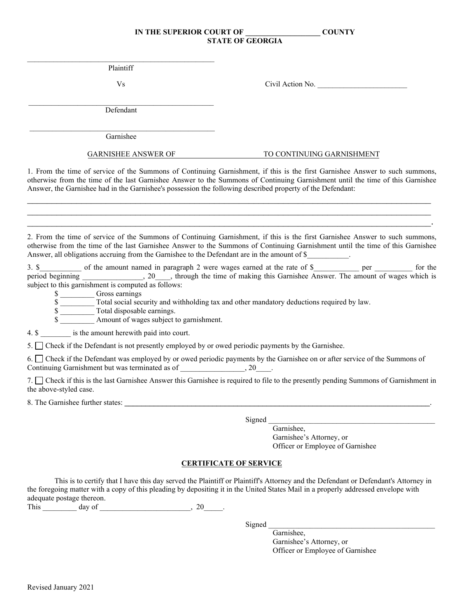$\mathcal{L}_\text{max}$  and  $\mathcal{L}_\text{max}$  and  $\mathcal{L}_\text{max}$  and  $\mathcal{L}_\text{max}$  and  $\mathcal{L}_\text{max}$ Plaintiff

Vs Civil Action No.

\_\_\_\_\_\_\_\_\_\_\_\_\_\_\_\_\_\_\_\_\_\_\_\_\_\_\_\_\_\_\_\_\_\_\_\_\_\_\_\_\_\_\_\_\_\_\_\_\_ Defendant

 $\mathcal{L}_\text{max} = \mathcal{L}_\text{max} = \mathcal{L}_\text{max} = \mathcal{L}_\text{max} = \mathcal{L}_\text{max} = \mathcal{L}_\text{max} = \mathcal{L}_\text{max}$ Garnishee

#### GARNISHEE ANSWER OF TO CONTINUING GARNISHMENT

1. From the time of service of the Summons of Continuing Garnishment, if this is the first Garnishee Answer to such summons, otherwise from the time of the last Garnishee Answer to the Summons of Continuing Garnishment until the time of this Garnishee Answer, the Garnishee had in the Garnishee's possession the following described property of the Defendant:

 $\mathcal{L}_\mathcal{L} = \mathcal{L}_\mathcal{L} = \mathcal{L}_\mathcal{L} = \mathcal{L}_\mathcal{L} = \mathcal{L}_\mathcal{L} = \mathcal{L}_\mathcal{L} = \mathcal{L}_\mathcal{L} = \mathcal{L}_\mathcal{L} = \mathcal{L}_\mathcal{L} = \mathcal{L}_\mathcal{L} = \mathcal{L}_\mathcal{L} = \mathcal{L}_\mathcal{L} = \mathcal{L}_\mathcal{L} = \mathcal{L}_\mathcal{L} = \mathcal{L}_\mathcal{L} = \mathcal{L}_\mathcal{L} = \mathcal{L}_\mathcal{L}$  $\mathcal{L}_\mathcal{L} = \mathcal{L}_\mathcal{L} = \mathcal{L}_\mathcal{L} = \mathcal{L}_\mathcal{L} = \mathcal{L}_\mathcal{L} = \mathcal{L}_\mathcal{L} = \mathcal{L}_\mathcal{L} = \mathcal{L}_\mathcal{L} = \mathcal{L}_\mathcal{L} = \mathcal{L}_\mathcal{L} = \mathcal{L}_\mathcal{L} = \mathcal{L}_\mathcal{L} = \mathcal{L}_\mathcal{L} = \mathcal{L}_\mathcal{L} = \mathcal{L}_\mathcal{L} = \mathcal{L}_\mathcal{L} = \mathcal{L}_\mathcal{L}$ \_\_\_\_\_\_\_\_\_\_\_\_\_\_\_\_\_\_\_\_\_\_\_\_\_\_\_\_\_\_\_\_\_\_\_\_\_\_\_\_\_\_\_\_\_\_\_\_\_\_\_\_\_\_\_\_\_\_\_\_\_\_\_\_\_\_\_\_\_\_\_\_\_\_\_\_\_\_\_\_\_\_.

2. From the time of service of the Summons of Continuing Garnishment, if this is the first Garnishee Answer to such summons, otherwise from the time of the last Garnishee Answer to the Summons of Continuing Garnishment until the time of this Garnishee Answer, all obligations accruing from the Garnishee to the Defendant are in the amount of \$

3. \$\_\_\_\_\_\_\_\_\_\_ of the amount named in paragraph 2 were wages earned at the rate of \$\_\_\_\_\_\_\_\_\_\_ per \_\_\_\_\_\_\_\_ for the period beginning \_\_\_\_\_\_\_\_\_\_\_\_\_\_, 20\_\_\_, through the time of making this Garnishee Answer. The amount of wages which is subject to this garnishment is computed as follows:

\$ \_\_\_\_\_\_\_\_\_ Gross earnings

 $\overline{\text{s}}$  Total social security and withholding tax and other mandatory deductions required by law.

\$

Amount of wages subject to garnishment.

4. \$ is the amount herewith paid into court.

5. Check if the Defendant is not presently employed by or owed periodic payments by the Garnishee.

6. Check if the Defendant was employed by or owed periodic payments by the Garnishee on or after service of the Summons of Continuing Garnishment but was terminated as of \_\_\_\_\_\_\_\_\_\_\_\_\_\_\_, 20\_\_\_\_.

7. Check if this is the last Garnishee Answer this Garnishee is required to file to the presently pending Summons of Garnishment in the above-styled case.

8. The Garnishee further states:

Signed

Garnishee, Garnishee's Attorney, or Officer or Employee of Garnishee

# **CERTIFICATE OF SERVICE**

This is to certify that I have this day served the Plaintiff or Plaintiff's Attorney and the Defendant or Defendant's Attorney in the foregoing matter with a copy of this pleading by depositing it in the United States Mail in a properly addressed envelope with adequate postage thereon.

This  $\frac{day \text{ of } (x,y) \text{ of } (x,y) \text{ of } (x,y) \text{ of } (x,y) \text{ of } (x,y) \text{ of } (x,y) \text{ of } (x,y) \text{ of } (x,y)$ 

Signed

Garnishee, Garnishee's Attorney, or Officer or Employee of Garnishee